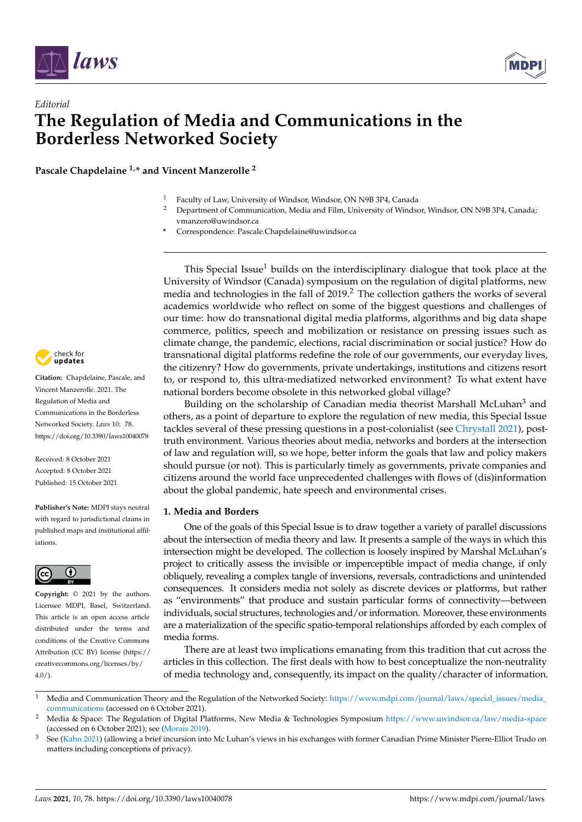



# *Editorial* **The Regulation of Media and Communications in the Borderless Networked Society**

**Pascale Chapdelaine 1,\* and Vincent Manzerolle <sup>2</sup>**

- <sup>1</sup> Faculty of Law, University of Windsor, Windsor, ON N9B 3P4, Canada
- <sup>2</sup> Department of Communication, Media and Film, University of Windsor, Windsor, ON N9B 3P4, Canada; vmanzero@uwindsor.ca
- **\*** Correspondence: Pascale.Chapdelaine@uwindsor.ca

This Special Issue<sup>1</sup> builds on the interdisciplinary dialogue that took place at the University of Windsor (Canada) symposium on the regulation of digital platforms, new media and technologies in the fall of 2019.<sup>2</sup> The collection gathers the works of several academics worldwide who reflect on some of the biggest questions and challenges of our time: how do transnational digital media platforms, algorithms and big data shape commerce, politics, speech and mobilization or resistance on pressing issues such as climate change, the pandemic, elections, racial discrimination or social justice? How do transnational digital platforms redefine the role of our governments, our everyday lives, the citizenry? How do governments, private undertakings, institutions and citizens resort to, or respond to, this ultra-mediatized networked environment? To what extent have national borders become obsolete in this networked global village?

Building on the scholarship of Canadian media theorist Marshall McLuhan<sup>3</sup> and others, as a point of departure to explore the regulation of new media, this Special Issue tackles several of these pressing questions in a post-colonialist (see [Chrystall](#page-5-0) [2021\)](#page-5-0), posttruth environment. Various theories about media, networks and borders at the intersection of law and regulation will, so we hope, better inform the goals that law and policy makers should pursue (or not). This is particularly timely as governments, private companies and citizens around the world face unprecedented challenges with flows of (dis)information about the global pandemic, hate speech and environmental crises.

## **1. Media and Borders**

One of the goals of this Special Issue is to draw together a variety of parallel discussions about the intersection of media theory and law. It presents a sample of the ways in which this intersection might be developed. The collection is loosely inspired by Marshal McLuhan's project to critically assess the invisible or imperceptible impact of media change, if only obliquely, revealing a complex tangle of inversions, reversals, contradictions and unintended consequences. It considers media not solely as discrete devices or platforms, but rather as "environments" that produce and sustain particular forms of connectivity—between individuals, social structures, technologies and/or information. Moreover, these environments are a materialization of the specific spatio-temporal relationships afforded by each complex of media forms.

There are at least two implications emanating from this tradition that cut across the articles in this collection. The first deals with how to best conceptualize the non-neutrality of media technology and, consequently, its impact on the quality/character of information.



**Citation:** Chapdelaine, Pascale, and Vincent Manzerolle. 2021. The Regulation of Media and Communications in the Borderless Networked Society. *Laws* 10: 78. <https://doi.org/10.3390/laws10040078>

Received: 8 October 2021 Accepted: 8 October 2021 Published: 15 October 2021

**Publisher's Note:** MDPI stays neutral with regard to jurisdictional claims in published maps and institutional affiliations.



**Copyright:** © 2021 by the authors. Licensee MDPI, Basel, Switzerland. This article is an open access article distributed under the terms and conditions of the Creative Commons Attribution (CC BY) license (https:/[/](https://creativecommons.org/licenses/by/4.0/) [creativecommons.org/licenses/by/](https://creativecommons.org/licenses/by/4.0/)  $4.0/$ ).

<sup>&</sup>lt;sup>1</sup> Media and Communication Theory and the Regulation of the Networked Society: [https://www.mdpi.com/journal/laws/special\\_issues/media\\_](https://www.mdpi.com/journal/laws/special_issues/media_communications) [communications](https://www.mdpi.com/journal/laws/special_issues/media_communications) (accessed on 6 October 2021).

<sup>2</sup> Media & Space: The Regulation of Digital Platforms, New Media & Technologies Symposium <https://www.uwindsor.ca/law/media-space> (accessed on 6 October 2021); see [\(Morais](#page-6-0) [2019\)](#page-6-0).

See [\(Kahn](#page-6-1) [2021\)](#page-6-1) (allowing a brief incursion into Mc Luhan's views in his exchanges with former Canadian Prime Minister Pierre-Elliot Trudo on matters including conceptions of privacy).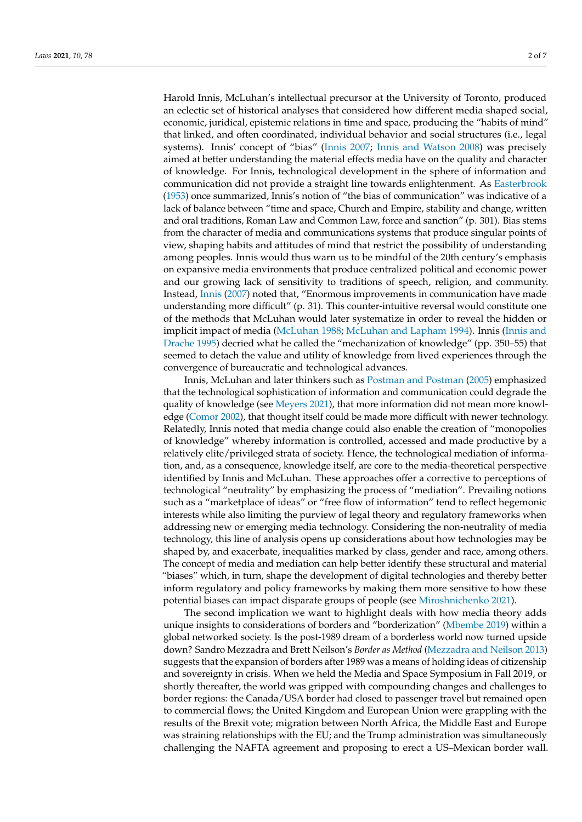Harold Innis, McLuhan's intellectual precursor at the University of Toronto, produced an eclectic set of historical analyses that considered how different media shaped social, economic, juridical, epistemic relations in time and space, producing the "habits of mind" that linked, and often coordinated, individual behavior and social structures (i.e., legal systems). Innis' concept of "bias" [\(Innis](#page-6-2) [2007;](#page-6-2) [Innis and Watson](#page-6-3) [2008\)](#page-6-3) was precisely aimed at better understanding the material effects media have on the quality and character of knowledge. For Innis, technological development in the sphere of information and communication did not provide a straight line towards enlightenment. As [Easterbrook](#page-6-4) [\(1953\)](#page-6-4) once summarized, Innis's notion of "the bias of communication" was indicative of a lack of balance between "time and space, Church and Empire, stability and change, written and oral traditions, Roman Law and Common Law, force and sanction" (p. 301). Bias stems from the character of media and communications systems that produce singular points of view, shaping habits and attitudes of mind that restrict the possibility of understanding among peoples. Innis would thus warn us to be mindful of the 20th century's emphasis on expansive media environments that produce centralized political and economic power and our growing lack of sensitivity to traditions of speech, religion, and community. Instead, [Innis](#page-6-2) [\(2007\)](#page-6-2) noted that, "Enormous improvements in communication have made understanding more difficult" (p. 31). This counter-intuitive reversal would constitute one of the methods that McLuhan would later systematize in order to reveal the hidden or implicit impact of media [\(McLuhan](#page-6-5) [1988;](#page-6-5) [McLuhan and Lapham](#page-6-6) [1994\)](#page-6-6). Innis [\(Innis and](#page-6-7) [Drache](#page-6-7) [1995\)](#page-6-7) decried what he called the "mechanization of knowledge" (pp. 350–55) that seemed to detach the value and utility of knowledge from lived experiences through the convergence of bureaucratic and technological advances.

Innis, McLuhan and later thinkers such as [Postman and Postman](#page-6-8) [\(2005\)](#page-6-8) emphasized that the technological sophistication of information and communication could degrade the quality of knowledge (see [Meyers](#page-6-9) [2021\)](#page-6-9), that more information did not mean more knowledge [\(Comor](#page-5-1) [2002\)](#page-5-1), that thought itself could be made more difficult with newer technology. Relatedly, Innis noted that media change could also enable the creation of "monopolies of knowledge" whereby information is controlled, accessed and made productive by a relatively elite/privileged strata of society. Hence, the technological mediation of information, and, as a consequence, knowledge itself, are core to the media-theoretical perspective identified by Innis and McLuhan. These approaches offer a corrective to perceptions of technological "neutrality" by emphasizing the process of "mediation". Prevailing notions such as a "marketplace of ideas" or "free flow of information" tend to reflect hegemonic interests while also limiting the purview of legal theory and regulatory frameworks when addressing new or emerging media technology. Considering the non-neutrality of media technology, this line of analysis opens up considerations about how technologies may be shaped by, and exacerbate, inequalities marked by class, gender and race, among others. The concept of media and mediation can help better identify these structural and material "biases" which, in turn, shape the development of digital technologies and thereby better inform regulatory and policy frameworks by making them more sensitive to how these potential biases can impact disparate groups of people (see [Miroshnichenko](#page-6-10) [2021\)](#page-6-10).

The second implication we want to highlight deals with how media theory adds unique insights to considerations of borders and "borderization" [\(Mbembe](#page-6-11) [2019\)](#page-6-11) within a global networked society. Is the post-1989 dream of a borderless world now turned upside down? Sandro Mezzadra and Brett Neilson's *Border as Method* [\(Mezzadra and Neilson](#page-6-12) [2013\)](#page-6-12) suggests that the expansion of borders after 1989 was a means of holding ideas of citizenship and sovereignty in crisis. When we held the Media and Space Symposium in Fall 2019, or shortly thereafter, the world was gripped with compounding changes and challenges to border regions: the Canada/USA border had closed to passenger travel but remained open to commercial flows; the United Kingdom and European Union were grappling with the results of the Brexit vote; migration between North Africa, the Middle East and Europe was straining relationships with the EU; and the Trump administration was simultaneously challenging the NAFTA agreement and proposing to erect a US–Mexican border wall.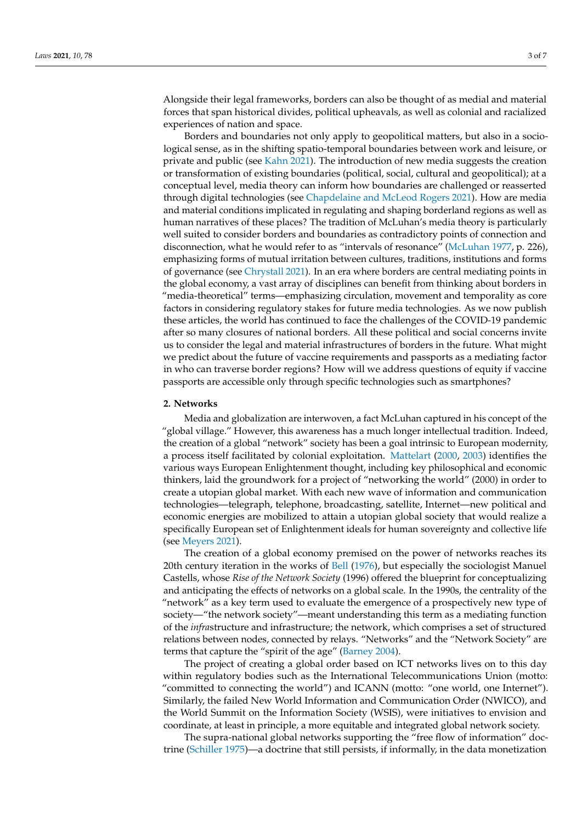Alongside their legal frameworks, borders can also be thought of as medial and material forces that span historical divides, political upheavals, as well as colonial and racialized experiences of nation and space.

Borders and boundaries not only apply to geopolitical matters, but also in a sociological sense, as in the shifting spatio-temporal boundaries between work and leisure, or private and public (see [Kahn](#page-6-1) [2021\)](#page-6-1). The introduction of new media suggests the creation or transformation of existing boundaries (political, social, cultural and geopolitical); at a conceptual level, media theory can inform how boundaries are challenged or reasserted through digital technologies (see [Chapdelaine and McLeod Rogers](#page-5-2) [2021\)](#page-5-2). How are media and material conditions implicated in regulating and shaping borderland regions as well as human narratives of these places? The tradition of McLuhan's media theory is particularly well suited to consider borders and boundaries as contradictory points of connection and disconnection, what he would refer to as "intervals of resonance" [\(McLuhan](#page-6-13) [1977,](#page-6-13) p. 226), emphasizing forms of mutual irritation between cultures, traditions, institutions and forms of governance (see [Chrystall](#page-5-0) [2021\)](#page-5-0). In an era where borders are central mediating points in the global economy, a vast array of disciplines can benefit from thinking about borders in "media-theoretical" terms—emphasizing circulation, movement and temporality as core factors in considering regulatory stakes for future media technologies. As we now publish these articles, the world has continued to face the challenges of the COVID-19 pandemic after so many closures of national borders. All these political and social concerns invite us to consider the legal and material infrastructures of borders in the future. What might we predict about the future of vaccine requirements and passports as a mediating factor in who can traverse border regions? How will we address questions of equity if vaccine passports are accessible only through specific technologies such as smartphones?

## **2. Networks**

Media and globalization are interwoven, a fact McLuhan captured in his concept of the "global village." However, this awareness has a much longer intellectual tradition. Indeed, the creation of a global "network" society has been a goal intrinsic to European modernity, a process itself facilitated by colonial exploitation. [Mattelart](#page-6-14) [\(2000,](#page-6-14) [2003\)](#page-6-15) identifies the various ways European Enlightenment thought, including key philosophical and economic thinkers, laid the groundwork for a project of "networking the world" (2000) in order to create a utopian global market. With each new wave of information and communication technologies—telegraph, telephone, broadcasting, satellite, Internet—new political and economic energies are mobilized to attain a utopian global society that would realize a specifically European set of Enlightenment ideals for human sovereignty and collective life (see [Meyers](#page-6-9) [2021\)](#page-6-9).

The creation of a global economy premised on the power of networks reaches its 20th century iteration in the works of [Bell](#page-5-3) [\(1976\)](#page-5-3), but especially the sociologist Manuel Castells, whose *Rise of the Network Society* (1996) offered the blueprint for conceptualizing and anticipating the effects of networks on a global scale. In the 1990s, the centrality of the "network" as a key term used to evaluate the emergence of a prospectively new type of society—"the network society"—meant understanding this term as a mediating function of the *infra*structure and infrastructure; the network, which comprises a set of structured relations between nodes, connected by relays. "Networks" and the "Network Society" are terms that capture the "spirit of the age" [\(Barney](#page-5-4) [2004\)](#page-5-4).

The project of creating a global order based on ICT networks lives on to this day within regulatory bodies such as the International Telecommunications Union (motto: "committed to connecting the world") and ICANN (motto: "one world, one Internet"). Similarly, the failed New World Information and Communication Order (NWICO), and the World Summit on the Information Society (WSIS), were initiatives to envision and coordinate, at least in principle, a more equitable and integrated global network society.

The supra-national global networks supporting the "free flow of information" doctrine [\(Schiller](#page-6-16) [1975\)](#page-6-16)—a doctrine that still persists, if informally, in the data monetization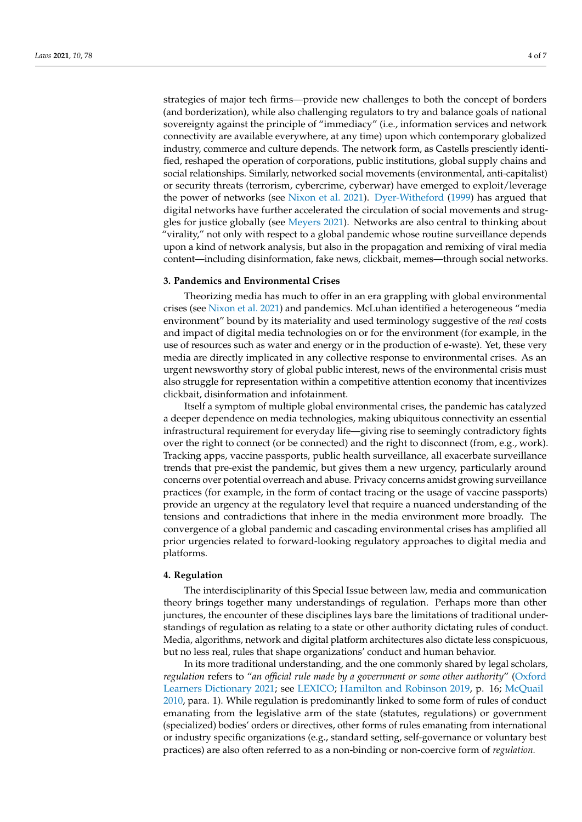strategies of major tech firms—provide new challenges to both the concept of borders (and borderization), while also challenging regulators to try and balance goals of national sovereignty against the principle of "immediacy" (i.e., information services and network connectivity are available everywhere, at any time) upon which contemporary globalized industry, commerce and culture depends. The network form, as Castells presciently identified, reshaped the operation of corporations, public institutions, global supply chains and social relationships. Similarly, networked social movements (environmental, anti-capitalist) or security threats (terrorism, cybercrime, cyberwar) have emerged to exploit/leverage the power of networks (see [Nixon et al.](#page-6-17) [2021\)](#page-6-17). [Dyer-Witheford](#page-6-18) [\(1999\)](#page-6-18) has argued that digital networks have further accelerated the circulation of social movements and struggles for justice globally (see [Meyers](#page-6-9) [2021\)](#page-6-9). Networks are also central to thinking about "virality," not only with respect to a global pandemic whose routine surveillance depends upon a kind of network analysis, but also in the propagation and remixing of viral media content—including disinformation, fake news, clickbait, memes—through social networks.

#### **3. Pandemics and Environmental Crises**

Theorizing media has much to offer in an era grappling with global environmental crises (see [Nixon et al.](#page-6-17) [2021\)](#page-6-17) and pandemics. McLuhan identified a heterogeneous "media environment" bound by its materiality and used terminology suggestive of the *real* costs and impact of digital media technologies on or for the environment (for example, in the use of resources such as water and energy or in the production of e-waste). Yet, these very media are directly implicated in any collective response to environmental crises. As an urgent newsworthy story of global public interest, news of the environmental crisis must also struggle for representation within a competitive attention economy that incentivizes clickbait, disinformation and infotainment.

Itself a symptom of multiple global environmental crises, the pandemic has catalyzed a deeper dependence on media technologies, making ubiquitous connectivity an essential infrastructural requirement for everyday life—giving rise to seemingly contradictory fights over the right to connect (or be connected) and the right to disconnect (from, e.g., work). Tracking apps, vaccine passports, public health surveillance, all exacerbate surveillance trends that pre-exist the pandemic, but gives them a new urgency, particularly around concerns over potential overreach and abuse. Privacy concerns amidst growing surveillance practices (for example, in the form of contact tracing or the usage of vaccine passports) provide an urgency at the regulatory level that require a nuanced understanding of the tensions and contradictions that inhere in the media environment more broadly. The convergence of a global pandemic and cascading environmental crises has amplified all prior urgencies related to forward-looking regulatory approaches to digital media and platforms.

## **4. Regulation**

The interdisciplinarity of this Special Issue between law, media and communication theory brings together many understandings of regulation. Perhaps more than other junctures, the encounter of these disciplines lays bare the limitations of traditional understandings of regulation as relating to a state or other authority dictating rules of conduct. Media, algorithms, network and digital platform architectures also dictate less conspicuous, but no less real, rules that shape organizations' conduct and human behavior.

In its more traditional understanding, and the one commonly shared by legal scholars, *regulation* refers to "*an official rule made by a government or some other authority*" [\(Oxford](#page-6-19) [Learners Dictionary](#page-6-19) [2021;](#page-6-19) see [LEXICO;](#page-6-20) [Hamilton and Robinson](#page-6-21) [2019,](#page-6-21) p. 16; [McQuail](#page-6-22) [2010,](#page-6-22) para. 1). While regulation is predominantly linked to some form of rules of conduct emanating from the legislative arm of the state (statutes, regulations) or government (specialized) bodies' orders or directives, other forms of rules emanating from international or industry specific organizations (e.g., standard setting, self-governance or voluntary best practices) are also often referred to as a non-binding or non-coercive form of *regulation.*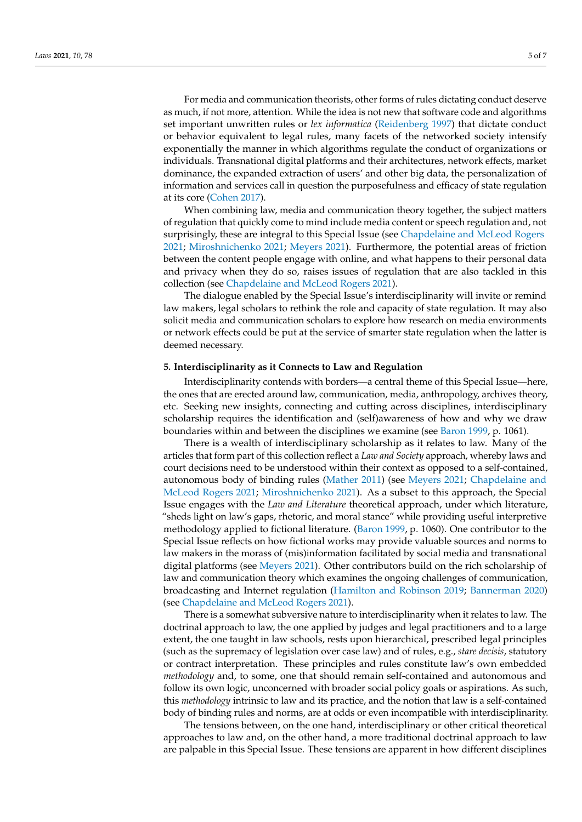For media and communication theorists, other forms of rules dictating conduct deserve as much, if not more, attention. While the idea is not new that software code and algorithms set important unwritten rules or *lex informatica* [\(Reidenberg](#page-6-23) [1997\)](#page-6-23) that dictate conduct or behavior equivalent to legal rules, many facets of the networked society intensify exponentially the manner in which algorithms regulate the conduct of organizations or individuals. Transnational digital platforms and their architectures, network effects, market dominance, the expanded extraction of users' and other big data, the personalization of information and services call in question the purposefulness and efficacy of state regulation at its core [\(Cohen](#page-5-5) [2017\)](#page-5-5).

When combining law, media and communication theory together, the subject matters of regulation that quickly come to mind include media content or speech regulation and, not surprisingly, these are integral to this Special Issue (see [Chapdelaine and McLeod Rogers](#page-5-2) [2021;](#page-5-2) [Miroshnichenko](#page-6-10) [2021;](#page-6-10) [Meyers](#page-6-9) [2021\)](#page-6-9). Furthermore, the potential areas of friction between the content people engage with online, and what happens to their personal data and privacy when they do so, raises issues of regulation that are also tackled in this collection (see [Chapdelaine and McLeod Rogers](#page-5-2) [2021\)](#page-5-2).

The dialogue enabled by the Special Issue's interdisciplinarity will invite or remind law makers, legal scholars to rethink the role and capacity of state regulation. It may also solicit media and communication scholars to explore how research on media environments or network effects could be put at the service of smarter state regulation when the latter is deemed necessary.

## **5. Interdisciplinarity as it Connects to Law and Regulation**

Interdisciplinarity contends with borders—a central theme of this Special Issue—here, the ones that are erected around law, communication, media, anthropology, archives theory, etc. Seeking new insights, connecting and cutting across disciplines, interdisciplinary scholarship requires the identification and (self)awareness of how and why we draw boundaries within and between the disciplines we examine (see [Baron](#page-5-6) [1999,](#page-5-6) p. 1061).

There is a wealth of interdisciplinary scholarship as it relates to law. Many of the articles that form part of this collection reflect a *Law and Society* approach, whereby laws and court decisions need to be understood within their context as opposed to a self-contained, autonomous body of binding rules [\(Mather](#page-6-24) [2011\)](#page-6-24) (see [Meyers](#page-6-9) [2021;](#page-6-9) [Chapdelaine and](#page-5-2) [McLeod Rogers](#page-5-2) [2021;](#page-5-2) [Miroshnichenko](#page-6-10) [2021\)](#page-6-10). As a subset to this approach, the Special Issue engages with the *Law and Literature* theoretical approach, under which literature, "sheds light on law's gaps, rhetoric, and moral stance" while providing useful interpretive methodology applied to fictional literature. [\(Baron](#page-5-6) [1999,](#page-5-6) p. 1060). One contributor to the Special Issue reflects on how fictional works may provide valuable sources and norms to law makers in the morass of (mis)information facilitated by social media and transnational digital platforms (see [Meyers](#page-6-9) [2021\)](#page-6-9). Other contributors build on the rich scholarship of law and communication theory which examines the ongoing challenges of communication, broadcasting and Internet regulation [\(Hamilton and Robinson](#page-6-21) [2019;](#page-6-21) [Bannerman](#page-5-7) [2020\)](#page-5-7) (see [Chapdelaine and McLeod Rogers](#page-5-2) [2021\)](#page-5-2).

There is a somewhat subversive nature to interdisciplinarity when it relates to law. The doctrinal approach to law, the one applied by judges and legal practitioners and to a large extent, the one taught in law schools, rests upon hierarchical, prescribed legal principles (such as the supremacy of legislation over case law) and of rules, e.g., *stare decisis*, statutory or contract interpretation. These principles and rules constitute law's own embedded *methodology* and, to some, one that should remain self-contained and autonomous and follow its own logic, unconcerned with broader social policy goals or aspirations. As such, this *methodology* intrinsic to law and its practice, and the notion that law is a self-contained body of binding rules and norms, are at odds or even incompatible with interdisciplinarity.

The tensions between, on the one hand, interdisciplinary or other critical theoretical approaches to law and, on the other hand, a more traditional doctrinal approach to law are palpable in this Special Issue. These tensions are apparent in how different disciplines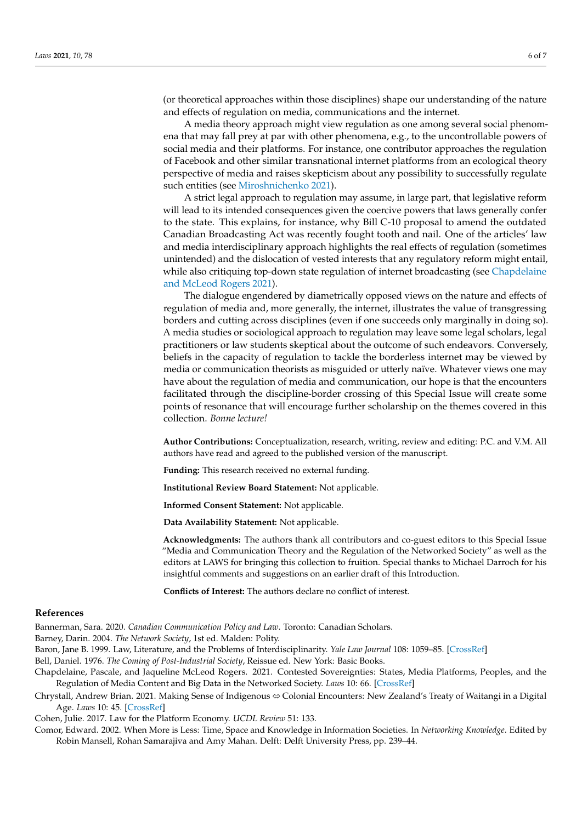(or theoretical approaches within those disciplines) shape our understanding of the nature and effects of regulation on media, communications and the internet.

A media theory approach might view regulation as one among several social phenomena that may fall prey at par with other phenomena, e.g., to the uncontrollable powers of social media and their platforms. For instance, one contributor approaches the regulation of Facebook and other similar transnational internet platforms from an ecological theory perspective of media and raises skepticism about any possibility to successfully regulate such entities (see [Miroshnichenko](#page-6-10) [2021\)](#page-6-10).

A strict legal approach to regulation may assume, in large part, that legislative reform will lead to its intended consequences given the coercive powers that laws generally confer to the state. This explains, for instance, why Bill C-10 proposal to amend the outdated Canadian Broadcasting Act was recently fought tooth and nail. One of the articles' law and media interdisciplinary approach highlights the real effects of regulation (sometimes unintended) and the dislocation of vested interests that any regulatory reform might entail, while also critiquing top-down state regulation of internet broadcasting (see [Chapdelaine](#page-5-2) [and McLeod Rogers](#page-5-2) [2021\)](#page-5-2).

The dialogue engendered by diametrically opposed views on the nature and effects of regulation of media and, more generally, the internet, illustrates the value of transgressing borders and cutting across disciplines (even if one succeeds only marginally in doing so). A media studies or sociological approach to regulation may leave some legal scholars, legal practitioners or law students skeptical about the outcome of such endeavors. Conversely, beliefs in the capacity of regulation to tackle the borderless internet may be viewed by media or communication theorists as misguided or utterly naïve. Whatever views one may have about the regulation of media and communication, our hope is that the encounters facilitated through the discipline-border crossing of this Special Issue will create some points of resonance that will encourage further scholarship on the themes covered in this collection. *Bonne lecture!*

**Author Contributions:** Conceptualization, research, writing, review and editing: P.C. and V.M. All authors have read and agreed to the published version of the manuscript.

**Funding:** This research received no external funding.

**Institutional Review Board Statement:** Not applicable.

**Informed Consent Statement:** Not applicable.

**Data Availability Statement:** Not applicable.

**Acknowledgments:** The authors thank all contributors and co-guest editors to this Special Issue "Media and Communication Theory and the Regulation of the Networked Society" as well as the editors at LAWS for bringing this collection to fruition. Special thanks to Michael Darroch for his insightful comments and suggestions on an earlier draft of this Introduction.

**Conflicts of Interest:** The authors declare no conflict of interest.

# <span id="page-5-7"></span><span id="page-5-6"></span><span id="page-5-4"></span><span id="page-5-3"></span>**References**

Bannerman, Sara. 2020. *Canadian Communication Policy and Law*. Toronto: Canadian Scholars.

Barney, Darin. 2004. *The Network Society*, 1st ed. Malden: Polity. (Barney 2004) Barney, Darin. 2004. *The Network Society*, 1st ed. Malden: Polity.

Baron, Jane B. 1999. Law, Literature, and the Problems of Interdisciplinarity. *Yale Law Journal* 108: 1059–85. [\[CrossRef\]](http://doi.org/10.2307/797370)

Bell, Daniel. 1976. *The Coming of Post-Industrial Society*, Reissue ed. New York: Basic Books.

- <span id="page-5-2"></span>Chapdelaine, Pascale, and Jaqueline McLeod Rogers. 2021. Contested Sovereignties: States, Media Platforms, Peoples, and the Regulation of Media Content and Big Data in the Networked Society. *Laws* 10: 66. [\[CrossRef\]](http://doi.org/10.3390/laws10030066)
- <span id="page-5-0"></span>Chrystall, Andrew Brian. 2021. Making Sense of Indigenous ⇔ Colonial Encounters: New Zealand′s Treaty of Waitangi in a Digital Age. *Laws* 10: 45. [\[CrossRef\]](http://doi.org/10.3390/laws10020045)

<span id="page-5-5"></span>(Cohen 2017) Cohen, Julie. 2017. Law for the Platform Economy. *UCDL Review* 51: 133. Cohen, Julie. 2017. Law for the Platform Economy. *UCDL Review* 51: 133.

<span id="page-5-1"></span>Comor, Edward. 2002. When More is Less: Time, Space and Knowledge in Information Societies. In Networking Knowledge. Edited by *Knowledge*. Edited by Robin Mansell, Rohan Samarajiva and Amy Mahan. Delft: Delft University Press, pp. 239–44. Robin Mansell, Rohan Samarajiva and Amy Mahan. Delft: Delft University Press, pp. 239–44.